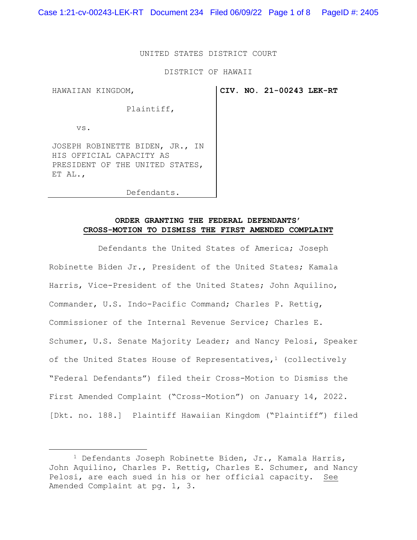Case 1:21-cv-00243-LEK-RT Document 234 Filed 06/09/22 Page 1 of 8 PageID #: 2405

## UNITED STATES DISTRICT COURT

#### DISTRICT OF HAWAII

HAWAIIAN KINGDOM,

**CIV. NO. 21-00243 LEK-RT**

Plaintiff,

vs.

JOSEPH ROBINETTE BIDEN, JR., IN HIS OFFICIAL CAPACITY AS PRESIDENT OF THE UNITED STATES, ET AL.,

Defendants.

# **ORDER GRANTING THE FEDERAL DEFENDANTS' CROSS-MOTION TO DISMISS THE FIRST AMENDED COMPLAINT**

 Defendants the United States of America; Joseph Robinette Biden Jr., President of the United States; Kamala Harris, Vice-President of the United States; John Aquilino, Commander, U.S. Indo-Pacific Command; Charles P. Rettig, Commissioner of the Internal Revenue Service; Charles E. Schumer, U.S. Senate Majority Leader; and Nancy Pelosi, Speaker of the United States House of Representatives, $1$  (collectively "Federal Defendants") filed their Cross-Motion to Dismiss the First Amended Complaint ("Cross-Motion") on January 14, 2022. [Dkt. no. 188.] Plaintiff Hawaiian Kingdom ("Plaintiff") filed

<sup>1</sup> Defendants Joseph Robinette Biden, Jr., Kamala Harris, John Aquilino, Charles P. Rettig, Charles E. Schumer, and Nancy Pelosi, are each sued in his or her official capacity. See Amended Complaint at pg. 1, 3.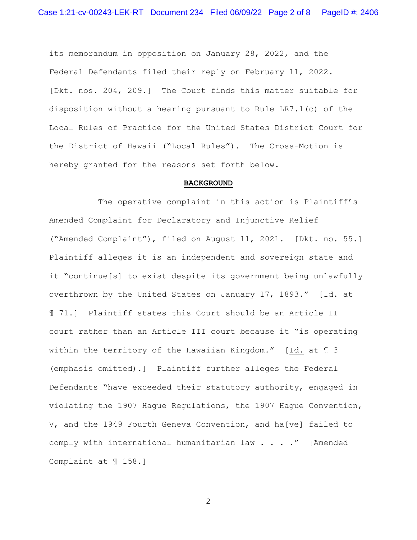its memorandum in opposition on January 28, 2022, and the Federal Defendants filed their reply on February 11, 2022. [Dkt. nos. 204, 209.] The Court finds this matter suitable for disposition without a hearing pursuant to Rule LR7.1(c) of the Local Rules of Practice for the United States District Court for the District of Hawaii ("Local Rules"). The Cross-Motion is hereby granted for the reasons set forth below.

### **BACKGROUND**

The operative complaint in this action is Plaintiff's Amended Complaint for Declaratory and Injunctive Relief ("Amended Complaint"), filed on August 11, 2021. [Dkt. no. 55.] Plaintiff alleges it is an independent and sovereign state and it "continue[s] to exist despite its government being unlawfully overthrown by the United States on January 17, 1893." [Id. at ¶ 71.] Plaintiff states this Court should be an Article II court rather than an Article III court because it "is operating within the territory of the Hawaiian Kingdom." [Id. at ¶ 3 (emphasis omitted).] Plaintiff further alleges the Federal Defendants "have exceeded their statutory authority, engaged in violating the 1907 Hague Regulations, the 1907 Hague Convention, V, and the 1949 Fourth Geneva Convention, and ha[ve] failed to comply with international humanitarian law . . . ." [Amended Complaint at ¶ 158.]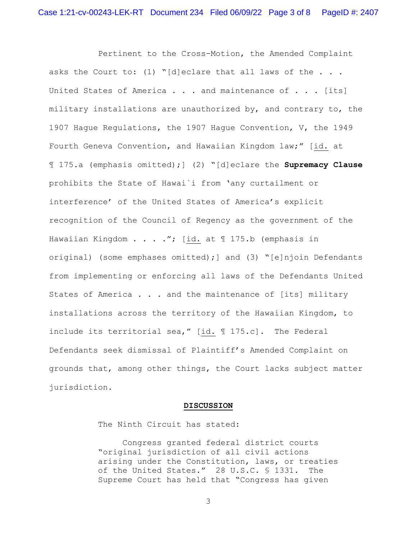Pertinent to the Cross-Motion, the Amended Complaint asks the Court to: (1) "[d]eclare that all laws of the  $\ldots$ . United States of America  $\ldots$  and maintenance of  $\ldots$  [its] military installations are unauthorized by, and contrary to, the 1907 Hague Regulations, the 1907 Hague Convention, V, the 1949 Fourth Geneva Convention, and Hawaiian Kingdom law;" [id. at ¶ 175.a (emphasis omitted);] (2) "[d]eclare the **Supremacy Clause** prohibits the State of Hawai`i from 'any curtailment or interference' of the United States of America's explicit recognition of the Council of Regency as the government of the Hawaiian Kingdom . . . ."; [id. at 1 175.b (emphasis in original) (some emphases omitted);] and (3) "[e]njoin Defendants from implementing or enforcing all laws of the Defendants United States of America . . . and the maintenance of [its] military installations across the territory of the Hawaiian Kingdom, to include its territorial sea," [id. ¶ 175.c]. The Federal Defendants seek dismissal of Plaintiff's Amended Complaint on grounds that, among other things, the Court lacks subject matter jurisdiction.

#### **DISCUSSION**

The Ninth Circuit has stated:

 Congress granted federal district courts "original jurisdiction of all civil actions arising under the Constitution, laws, or treaties of the United States." 28 U.S.C. § 1331. The Supreme Court has held that "Congress has given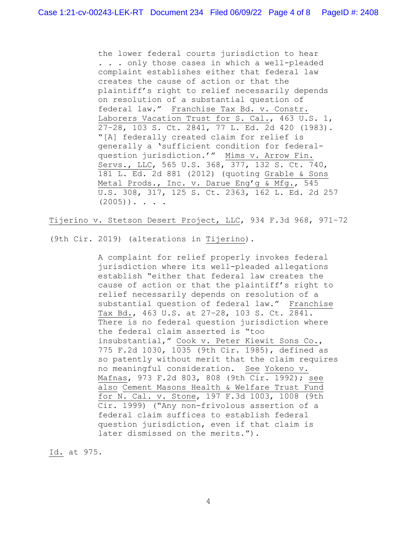the lower federal courts jurisdiction to hear . . . only those cases in which a well-pleaded complaint establishes either that federal law creates the cause of action or that the plaintiff's right to relief necessarily depends on resolution of a substantial question of federal law." Franchise Tax Bd. v. Constr. Laborers Vacation Trust for S. Cal., 463 U.S. 1, 27–28, 103 S. Ct. 2841, 77 L. Ed. 2d 420 (1983). "[A] federally created claim for relief is generally a 'sufficient condition for federalquestion jurisdiction.'" Mims v. Arrow Fin. Servs., LLC, 565 U.S. 368, 377, 132 S. Ct. 740, 181 L. Ed. 2d 881 (2012) (quoting Grable & Sons Metal Prods., Inc. v. Darue Eng'g & Mfg., 545 U.S. 308, 317, 125 S. Ct. 2363, 162 L. Ed. 2d 257  $(2005)$ ). . . .

Tijerino v. Stetson Desert Project, LLC, 934 F.3d 968, 971–72

(9th Cir. 2019) (alterations in Tijerino).

A complaint for relief properly invokes federal jurisdiction where its well-pleaded allegations establish "either that federal law creates the cause of action or that the plaintiff's right to relief necessarily depends on resolution of a substantial question of federal law." Franchise Tax Bd., 463 U.S. at 27–28, 103 S. Ct. 2841. There is no federal question jurisdiction where the federal claim asserted is "too insubstantial," Cook v. Peter Kiewit Sons Co., 775 F.2d 1030, 1035 (9th Cir. 1985), defined as so patently without merit that the claim requires no meaningful consideration. See Yokeno v. Mafnas, 973 F.2d 803, 808 (9th Cir. 1992); see also Cement Masons Health & Welfare Trust Fund for N. Cal. v. Stone, 197 F.3d 1003, 1008 (9th Cir. 1999) ("Any non-frivolous assertion of a federal claim suffices to establish federal question jurisdiction, even if that claim is later dismissed on the merits.").

Id. at 975.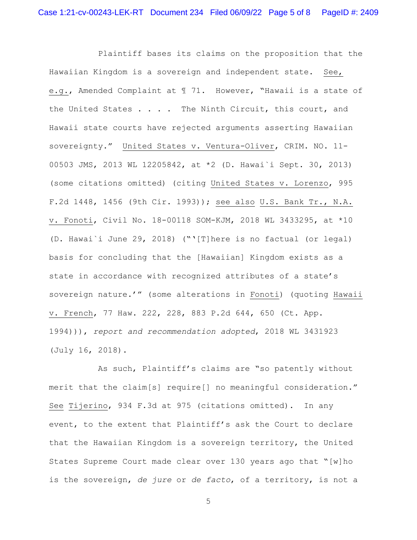Plaintiff bases its claims on the proposition that the Hawaiian Kingdom is a sovereign and independent state. See, e.g., Amended Complaint at ¶ 71. However, "Hawaii is a state of the United States . . . . The Ninth Circuit, this court, and Hawaii state courts have rejected arguments asserting Hawaiian sovereignty." United States v. Ventura-Oliver, CRIM. NO. 11- 00503 JMS, 2013 WL 12205842, at \*2 (D. Hawai`i Sept. 30, 2013) (some citations omitted) (citing United States v. Lorenzo, 995 F.2d 1448, 1456 (9th Cir. 1993)); see also U.S. Bank Tr., N.A. v. Fonoti, Civil No. 18-00118 SOM-KJM, 2018 WL 3433295, at \*10 (D. Hawai`i June 29, 2018) ("'[T]here is no factual (or legal) basis for concluding that the [Hawaiian] Kingdom exists as a state in accordance with recognized attributes of a state's sovereign nature.'" (some alterations in Fonoti) (quoting Hawaii v. French, 77 Haw. 222, 228, 883 P.2d 644, 650 (Ct. App. 1994))), *report and recommendation adopted*, 2018 WL 3431923 (July 16, 2018).

 As such, Plaintiff's claims are "so patently without merit that the claim[s] require[] no meaningful consideration." See Tijerino, 934 F.3d at 975 (citations omitted). In any event, to the extent that Plaintiff's ask the Court to declare that the Hawaiian Kingdom is a sovereign territory, the United States Supreme Court made clear over 130 years ago that "[w]ho is the sovereign, *de jure* or *de facto*, of a territory, is not a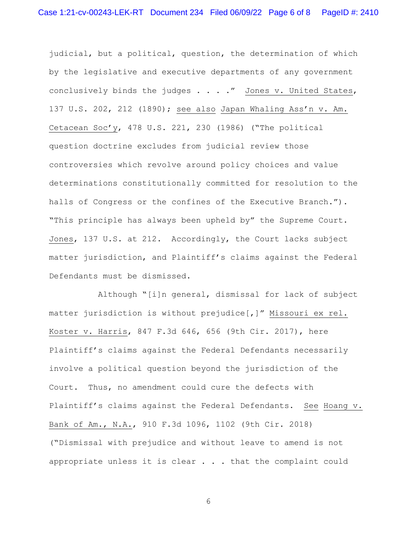judicial, but a political, question, the determination of which by the legislative and executive departments of any government conclusively binds the judges . . . ." Jones v. United States, 137 U.S. 202, 212 (1890); see also Japan Whaling Ass'n v. Am. Cetacean Soc'y, 478 U.S. 221, 230 (1986) ("The political question doctrine excludes from judicial review those controversies which revolve around policy choices and value determinations constitutionally committed for resolution to the halls of Congress or the confines of the Executive Branch."). "This principle has always been upheld by" the Supreme Court. Jones, 137 U.S. at 212. Accordingly, the Court lacks subject matter jurisdiction, and Plaintiff's claims against the Federal Defendants must be dismissed.

 Although "[i]n general, dismissal for lack of subject matter jurisdiction is without prejudice[,]" Missouri ex rel. Koster v. Harris, 847 F.3d 646, 656 (9th Cir. 2017), here Plaintiff's claims against the Federal Defendants necessarily involve a political question beyond the jurisdiction of the Court. Thus, no amendment could cure the defects with Plaintiff's claims against the Federal Defendants. See Hoang v. Bank of Am., N.A., 910 F.3d 1096, 1102 (9th Cir. 2018) ("Dismissal with prejudice and without leave to amend is not appropriate unless it is clear . . . that the complaint could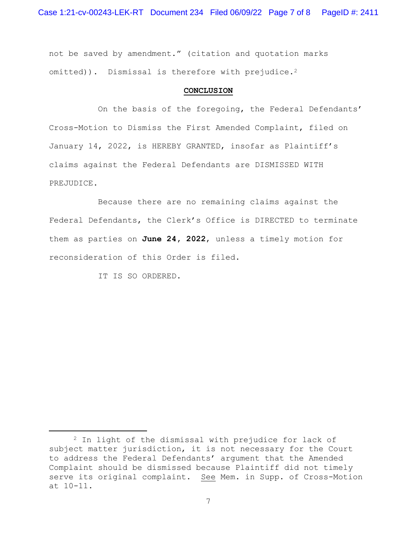Case 1:21-cv-00243-LEK-RT Document 234 Filed 06/09/22 Page 7 of 8 PageID #: 2411

not be saved by amendment." (citation and quotation marks omitted)). Dismissal is therefore with prejudice.<sup>2</sup>

### **CONCLUSION**

 On the basis of the foregoing, the Federal Defendants' Cross-Motion to Dismiss the First Amended Complaint, filed on January 14, 2022, is HEREBY GRANTED, insofar as Plaintiff's claims against the Federal Defendants are DISMISSED WITH PREJUDICE.

 Because there are no remaining claims against the Federal Defendants, the Clerk's Office is DIRECTED to terminate them as parties on **June 24, 2022**, unless a timely motion for reconsideration of this Order is filed.

IT IS SO ORDERED.

<sup>2</sup> In light of the dismissal with prejudice for lack of subject matter jurisdiction, it is not necessary for the Court to address the Federal Defendants' argument that the Amended Complaint should be dismissed because Plaintiff did not timely serve its original complaint. See Mem. in Supp. of Cross-Motion at 10-11.